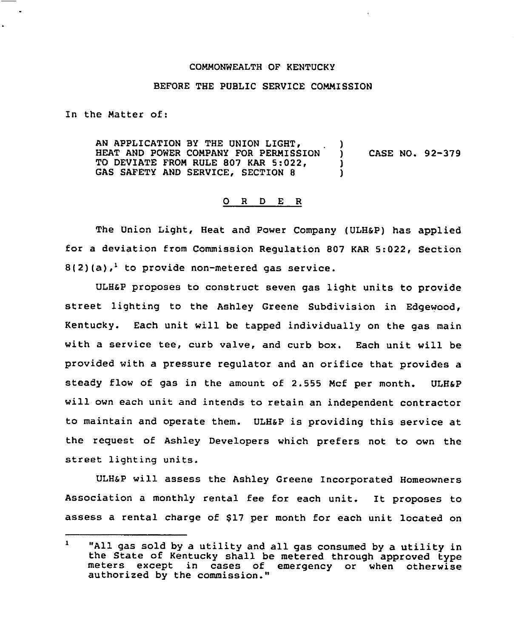## COMMONWEALTH OF KENTUCKY

## BEFORE THE PUBLIC SERVICE COMMISSION

In the Matter of:

AN APPLICATION BY THE UNION LIGHT,  $\qquad$  )<br>HEAT AND POWER COMPANY FOR PERMISSION ) HEAT AND POWER COMPANY FOR PERMISSION ) CASE NO. 92-379<br>TO DEVIATE FROM RULE 807 KAR 5:022, TO DEVIATE FROM RULE 807 KAR 5:022, GAS SAFETY AND SERVICE, SECTION 8

## 0 <sup>R</sup> <sup>D</sup> <sup>E</sup> <sup>R</sup>

The Union Light, Heat and Power Company (ULH&P) has applied for a deviation from Commission Regulation 807 KAR 5:022, Section  $8(2)(a)$ ,<sup>1</sup> to provide non-metered gas service.

ULH&P proposes to construct seven gas light units to provide street lighting to the Ashley Greene Subdivision in Edgewood, Kentucky. Each unit will be tapped individually on the gas main with a service tee, curb valve, and curb box. Each unit will be provided with a pressure regulator and an orifice that provides a steady flow of gas in the amount of 2.555 Mcf per month. ULHaP will own each unit and intends to retain an independent contractor to maintain and operate them. ULHaP is providing this service at the request of Ashley Developers which prefers not to own the street lighting units.

ULHap will assess the Ashley Greene Incorporated Homeowners Association a monthly rental fee for each unit. It proposes to assess a rental charge of 817 per month for each unit located on

 $\mathbf{1}$ "All gas sold by <sup>a</sup> utility and all gas consumed by <sup>a</sup> utility in the State of Kentucky shall be metered through approved type meters except in cases of emergency or when otherwise authorized by the commission."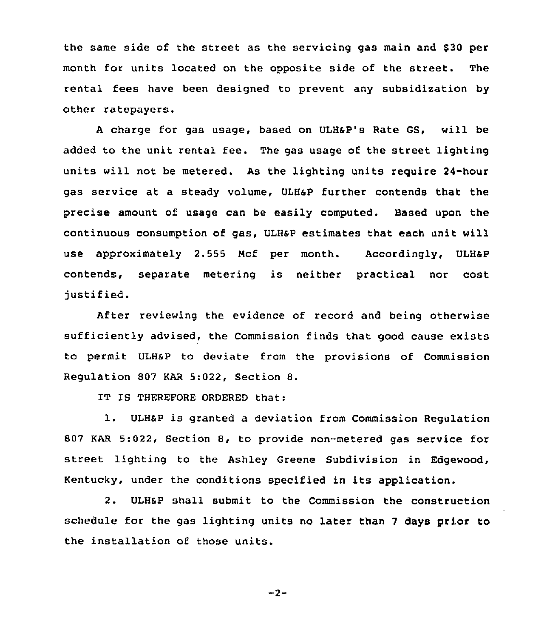the same side of the street as the servicing gas main and 830 per month for units located on the opposite side of the street. The rental fees have been designed to prevent any subsidization by other ratepayers.

<sup>A</sup> charge for gas usage, based on ULHSP's Rate GS, will be added to the unit rental fee. The gas usage of the street lighting units will not be metered. As the lighting units require 24-hour gas service at a steady volume, ULHaP further contends that the precise amount of usage can be easily computed. Based upon the continuous consumption of gas, ULHsP estimates that each unit will use approximately 2.555 Mcf per month. Accordingly, ULH&P contends, separate metering is neither practical nor cost justified.

After reviewing the evidence of record and being otherwise sufficiently advised, the Commission finds that good cause exists to permit ULHsP to deviate from the provisions of Commission Regulation 807 KAR 5:022, Section 8.

IT IS THEREFORE ORDERED that:

l. ULH6P is granted <sup>a</sup> deviation from Commission Regulation 807 KAR 5:022, Section 8, to provide non-metered gas service for street lighting to the Ashley Greene Subdivision in Edgewood, Kentucky, under the conditions specified in its application.

2. ULH&P shall submit to the Commission the construction schedule for the gas lighting units no later than <sup>7</sup> days prior to the installation of those units.

 $-2-$